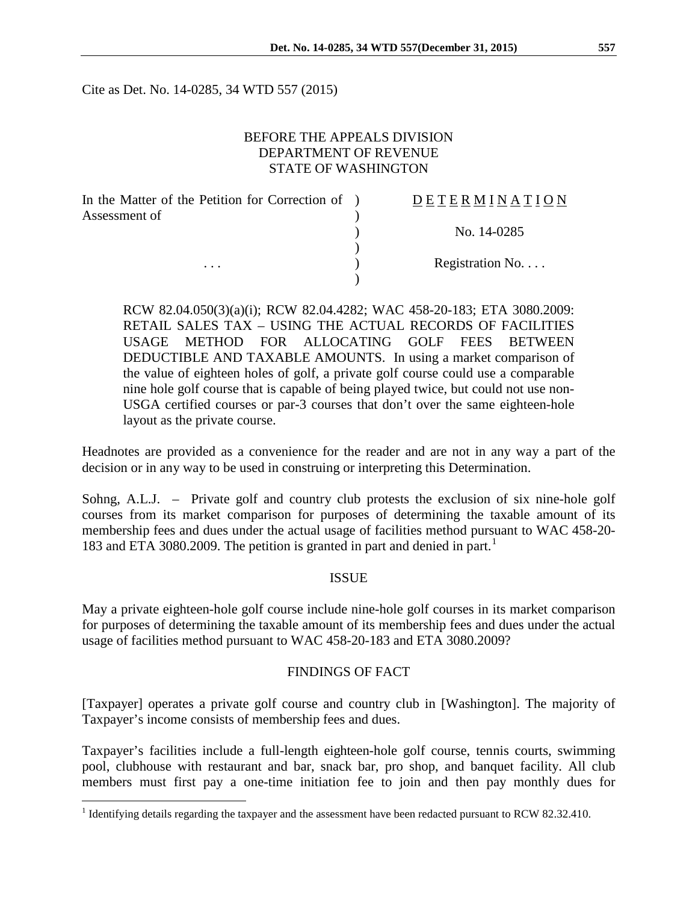Cite as Det. No. 14-0285, 34 WTD 557 (2015)

#### BEFORE THE APPEALS DIVISION DEPARTMENT OF REVENUE STATE OF WASHINGTON

| In the Matter of the Petition for Correction of ) | <b>DETERMINATION</b> |
|---------------------------------------------------|----------------------|
| Assessment of                                     |                      |
|                                                   | No. 14-0285          |
|                                                   |                      |
| .                                                 | Registration No.     |
|                                                   |                      |

RCW 82.04.050(3)(a)(i); RCW 82.04.4282; WAC 458-20-183; ETA 3080.2009: RETAIL SALES TAX – USING THE ACTUAL RECORDS OF FACILITIES USAGE METHOD FOR ALLOCATING GOLF FEES BETWEEN DEDUCTIBLE AND TAXABLE AMOUNTS. In using a market comparison of the value of eighteen holes of golf, a private golf course could use a comparable nine hole golf course that is capable of being played twice, but could not use non-USGA certified courses or par-3 courses that don't over the same eighteen-hole layout as the private course.

Headnotes are provided as a convenience for the reader and are not in any way a part of the decision or in any way to be used in construing or interpreting this Determination.

Sohng, A.L.J. – Private golf and country club protests the exclusion of six nine-hole golf courses from its market comparison for purposes of determining the taxable amount of its membership fees and dues under the actual usage of facilities method pursuant to WAC 458-20- [1](#page-0-0)83 and ETA 3080.2009. The petition is granted in part and denied in part.<sup>1</sup>

#### ISSUE

May a private eighteen-hole golf course include nine-hole golf courses in its market comparison for purposes of determining the taxable amount of its membership fees and dues under the actual usage of facilities method pursuant to WAC 458-20-183 and ETA 3080.2009?

#### FINDINGS OF FACT

[Taxpayer] operates a private golf course and country club in [Washington]. The majority of Taxpayer's income consists of membership fees and dues.

Taxpayer's facilities include a full-length eighteen-hole golf course, tennis courts, swimming pool, clubhouse with restaurant and bar, snack bar, pro shop, and banquet facility. All club members must first pay a one-time initiation fee to join and then pay monthly dues for

<span id="page-0-0"></span><sup>&</sup>lt;sup>1</sup> Identifying details regarding the taxpayer and the assessment have been redacted pursuant to RCW 82.32.410.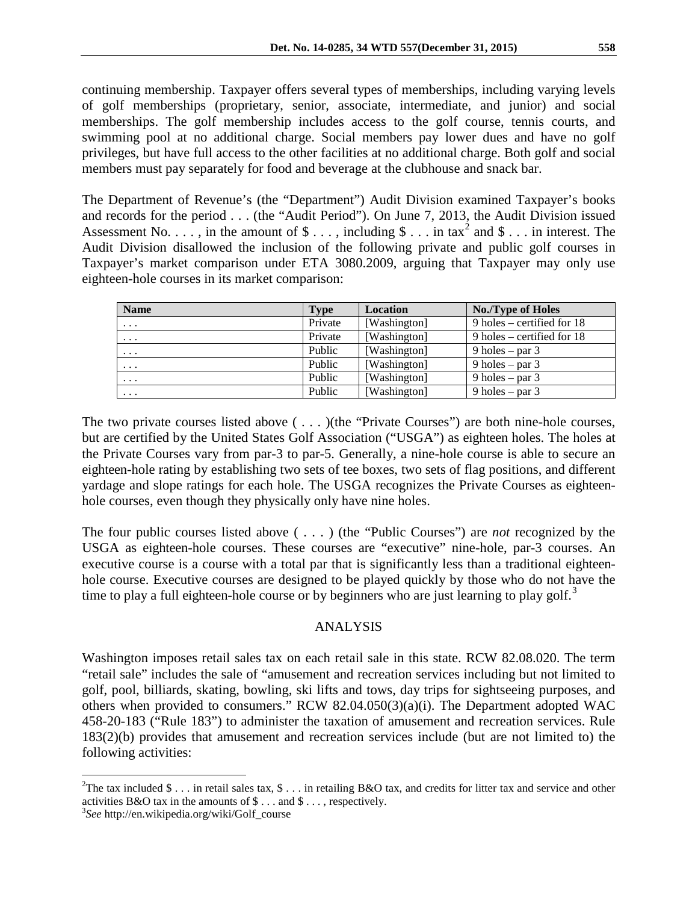continuing membership. Taxpayer offers several types of memberships, including varying levels of golf memberships (proprietary, senior, associate, intermediate, and junior) and social memberships. The golf membership includes access to the golf course, tennis courts, and swimming pool at no additional charge. Social members pay lower dues and have no golf privileges, but have full access to the other facilities at no additional charge. Both golf and social members must pay separately for food and beverage at the clubhouse and snack bar.

The Department of Revenue's (the "Department") Audit Division examined Taxpayer's books and records for the period . . . (the "Audit Period"). On June 7, 2013, the Audit Division issued Assessment No.  $\dots$ , in the amount of  $\text{\$}\dots$ , including  $\text{\$}\dots$  in tax<sup>[2](#page-1-0)</sup> and  $\text{\$}\dots$  in interest. The Audit Division disallowed the inclusion of the following private and public golf courses in Taxpayer's market comparison under ETA 3080.2009, arguing that Taxpayer may only use eighteen-hole courses in its market comparison:

| <b>Name</b>             | Type    | Location     | No./Type of Holes            |
|-------------------------|---------|--------------|------------------------------|
| $\cdots$                | Private | [Washington] | 9 holes – certified for $18$ |
| $\cdots$                | Private | [Washington] | 9 holes – certified for $18$ |
| $\cdot$ $\cdot$ $\cdot$ | Public  | [Washington] | 9 holes – par $3$            |
| $\cdot$ $\cdot$ $\cdot$ | Public  | [Washington] | 9 holes $-$ par 3            |
| $\cdot$ $\cdot$ $\cdot$ | Public  | [Washington] | 9 holes – par $3$            |
| $\cdots$                | Public  | [Washington] | 9 holes – par $3$            |

The two private courses listed above ( . . . )(the "Private Courses") are both nine-hole courses, but are certified by the United States Golf Association ("USGA") as eighteen holes. The holes at the Private Courses vary from par-3 to par-5. Generally, a nine-hole course is able to secure an eighteen-hole rating by establishing two sets of tee boxes, two sets of flag positions, and different yardage and slope ratings for each hole. The USGA recognizes the Private Courses as eighteenhole courses, even though they physically only have nine holes.

The four public courses listed above ( . . . ) (the "Public Courses") are *not* recognized by the USGA as eighteen-hole courses. These courses are "executive" nine-hole, par-3 courses. An executive course is a course with a total par that is significantly less than a traditional eighteenhole course. Executive courses are designed to be played quickly by those who do not have the time to play a full eighteen-hole course or by beginners who are just learning to play golf.<sup>[3](#page-1-1)</sup>

## ANALYSIS

Washington imposes retail sales tax on each retail sale in this state. RCW 82.08.020. The term "retail sale" includes the sale of "amusement and recreation services including but not limited to golf, pool, billiards, skating, bowling, ski lifts and tows, day trips for sightseeing purposes, and others when provided to consumers." RCW 82.04.050(3)(a)(i). The Department adopted WAC 458-20-183 ("Rule 183") to administer the taxation of amusement and recreation services. Rule 183(2)(b) provides that amusement and recreation services include (but are not limited to) the following activities:

<span id="page-1-0"></span> $\frac{1}{2}$ <sup>2</sup>The tax included \$ . . . in retail sales tax, \$ . . . in retailing B&O tax, and credits for litter tax and service and other activities B&O tax in the amounts of  $\$\dots$  and  $\$\dots$ , respectively.

<span id="page-1-1"></span>*See* http://en.wikipedia.org/wiki/Golf\_course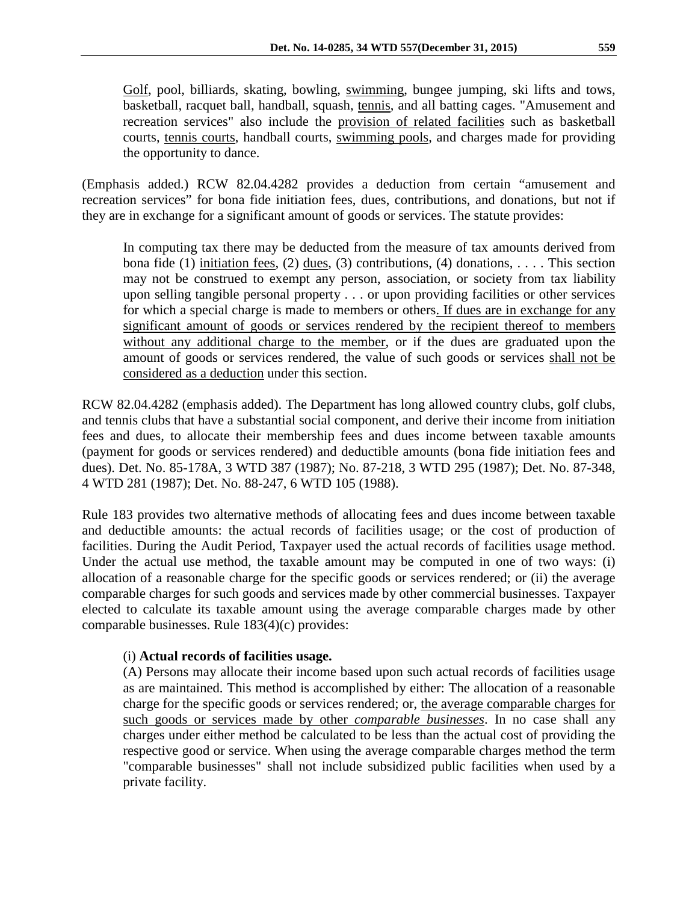Golf, pool, billiards, skating, bowling, swimming, bungee jumping, ski lifts and tows, basketball, racquet ball, handball, squash, tennis, and all batting cages. "Amusement and recreation services" also include the provision of related facilities such as basketball courts, tennis courts, handball courts, swimming pools, and charges made for providing the opportunity to dance.

(Emphasis added.) RCW 82.04.4282 provides a deduction from certain "amusement and recreation services" for bona fide initiation fees, dues, contributions, and donations, but not if they are in exchange for a significant amount of goods or services. The statute provides:

In computing tax there may be deducted from the measure of tax amounts derived from bona fide (1) initiation fees, (2) dues, (3) contributions, (4) donations, ... This section may not be construed to exempt any person, association, or society from tax liability upon selling tangible personal property . . . or upon providing facilities or other services for which a special charge is made to members or others. If dues are in exchange for any significant amount of goods or services rendered by the recipient thereof to members without any additional charge to the member, or if the dues are graduated upon the amount of goods or services rendered, the value of such goods or services shall not be considered as a deduction under this section.

RCW 82.04.4282 (emphasis added). The Department has long allowed country clubs, golf clubs, and tennis clubs that have a substantial social component, and derive their income from initiation fees and dues, to allocate their membership fees and dues income between taxable amounts (payment for goods or services rendered) and deductible amounts (bona fide initiation fees and dues). Det. No. 85-178A, 3 WTD 387 (1987); No. 87-218, 3 WTD 295 (1987); Det. No. 87-348, 4 WTD 281 (1987); Det. No. 88-247, 6 WTD 105 (1988).

Rule 183 provides two alternative methods of allocating fees and dues income between taxable and deductible amounts: the actual records of facilities usage; or the cost of production of facilities. During the Audit Period, Taxpayer used the actual records of facilities usage method. Under the actual use method, the taxable amount may be computed in one of two ways: (i) allocation of a reasonable charge for the specific goods or services rendered; or (ii) the average comparable charges for such goods and services made by other commercial businesses. Taxpayer elected to calculate its taxable amount using the average comparable charges made by other comparable businesses. Rule 183(4)(c) provides:

## (i) **Actual records of facilities usage.**

(A) Persons may allocate their income based upon such actual records of facilities usage as are maintained. This method is accomplished by either: The allocation of a reasonable charge for the specific goods or services rendered; or, the average comparable charges for such goods or services made by other *comparable businesses*. In no case shall any charges under either method be calculated to be less than the actual cost of providing the respective good or service. When using the average comparable charges method the term "comparable businesses" shall not include subsidized public facilities when used by a private facility.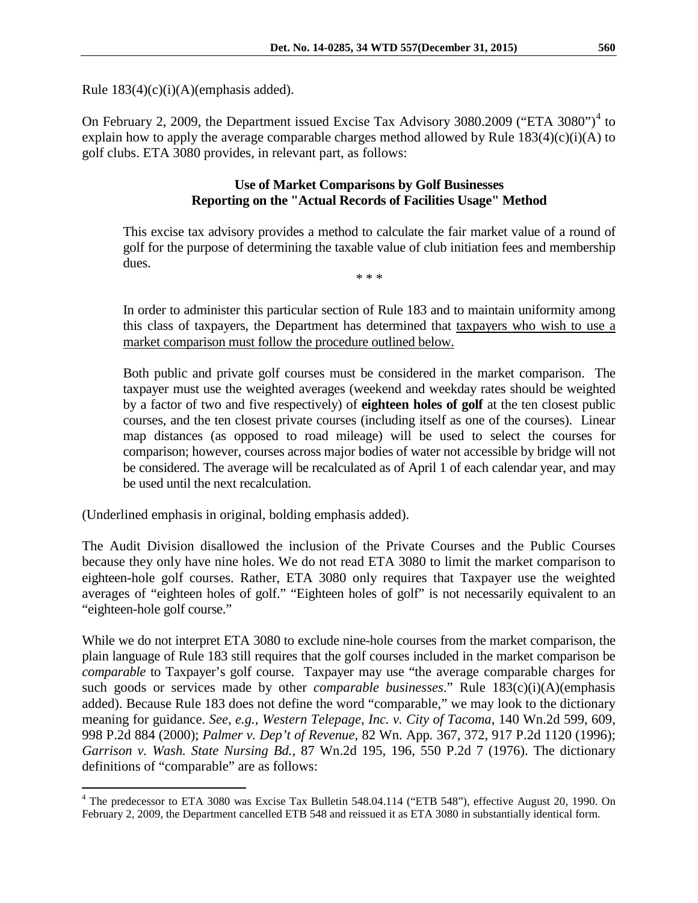Rule  $183(4)(c)(i)(A)(emphasis added).$ 

On February 2, 2009, the Department issued Excise Tax Advisory 3080.2009 ("ETA 3080")<sup>[4](#page-3-0)</sup> to explain how to apply the average comparable charges method allowed by Rule  $183(4)(c)(i)(A)$  to golf clubs. ETA 3080 provides, in relevant part, as follows:

### **Use of Market Comparisons by Golf Businesses Reporting on the "Actual Records of Facilities Usage" Method**

This excise tax advisory provides a method to calculate the fair market value of a round of golf for the purpose of determining the taxable value of club initiation fees and membership dues.

\* \* \*

In order to administer this particular section of Rule 183 and to maintain uniformity among this class of taxpayers, the Department has determined that taxpayers who wish to use a market comparison must follow the procedure outlined below.

Both public and private golf courses must be considered in the market comparison. The taxpayer must use the weighted averages (weekend and weekday rates should be weighted by a factor of two and five respectively) of **eighteen holes of golf** at the ten closest public courses, and the ten closest private courses (including itself as one of the courses). Linear map distances (as opposed to road mileage) will be used to select the courses for comparison; however, courses across major bodies of water not accessible by bridge will not be considered. The average will be recalculated as of April 1 of each calendar year, and may be used until the next recalculation.

(Underlined emphasis in original, bolding emphasis added).

The Audit Division disallowed the inclusion of the Private Courses and the Public Courses because they only have nine holes. We do not read ETA 3080 to limit the market comparison to eighteen-hole golf courses. Rather, ETA 3080 only requires that Taxpayer use the weighted averages of "eighteen holes of golf." "Eighteen holes of golf" is not necessarily equivalent to an "eighteen-hole golf course."

While we do not interpret ETA 3080 to exclude nine-hole courses from the market comparison, the plain language of Rule 183 still requires that the golf courses included in the market comparison be *comparable* to Taxpayer's golf course. Taxpayer may use "the average comparable charges for such goods or services made by other *comparable businesses*." Rule 183(c)(i)(A)(emphasis added). Because Rule 183 does not define the word "comparable," we may look to the dictionary meaning for guidance. *See, e.g., Western Telepage, Inc. v. City of Tacoma*, 140 Wn.2d 599, 609, 998 P.2d 884 (2000); *Palmer v. Dep't of Revenue,* 82 Wn. App*.* 367, 372, 917 P.2d 1120 (1996); *Garrison v. Wash. State Nursing Bd.,* 87 Wn.2d 195, 196, 550 P.2d 7 (1976). The dictionary definitions of "comparable" are as follows:

<span id="page-3-0"></span><sup>&</sup>lt;sup>4</sup> The predecessor to ETA 3080 was Excise Tax Bulletin 548.04.114 ("ETB 548"), effective August 20, 1990. On February 2, 2009, the Department cancelled ETB 548 and reissued it as ETA 3080 in substantially identical form.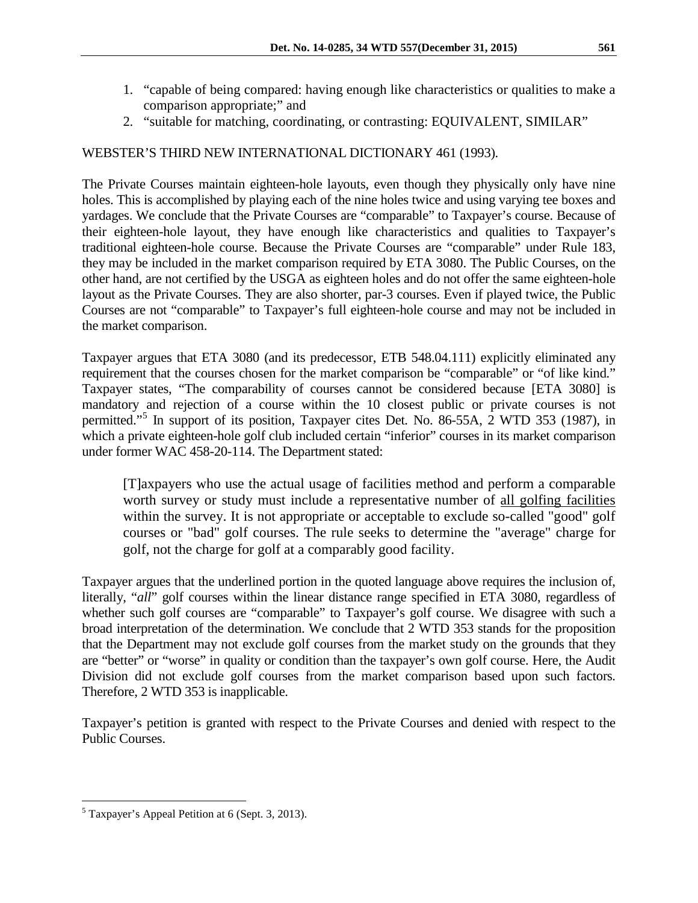- 1. "capable of being compared: having enough like characteristics or qualities to make a comparison appropriate;" and
- 2. "suitable for matching, coordinating, or contrasting: EQUIVALENT, SIMILAR"

## WEBSTER'S THIRD NEW INTERNATIONAL DICTIONARY 461 (1993).

The Private Courses maintain eighteen-hole layouts, even though they physically only have nine holes. This is accomplished by playing each of the nine holes twice and using varying tee boxes and yardages. We conclude that the Private Courses are "comparable" to Taxpayer's course. Because of their eighteen-hole layout, they have enough like characteristics and qualities to Taxpayer's traditional eighteen-hole course. Because the Private Courses are "comparable" under Rule 183, they may be included in the market comparison required by ETA 3080. The Public Courses, on the other hand, are not certified by the USGA as eighteen holes and do not offer the same eighteen-hole layout as the Private Courses. They are also shorter, par-3 courses. Even if played twice, the Public Courses are not "comparable" to Taxpayer's full eighteen-hole course and may not be included in the market comparison.

Taxpayer argues that ETA 3080 (and its predecessor, ETB 548.04.111) explicitly eliminated any requirement that the courses chosen for the market comparison be "comparable" or "of like kind." Taxpayer states, "The comparability of courses cannot be considered because [ETA 3080] is mandatory and rejection of a course within the 10 closest public or private courses is not permitted."[5](#page-4-0) In support of its position, Taxpayer cites Det. No. 86-55A, 2 WTD 353 (1987), in which a private eighteen-hole golf club included certain "inferior" courses in its market comparison under former WAC 458-20-114. The Department stated:

[T]axpayers who use the actual usage of facilities method and perform a comparable worth survey or study must include a representative number of all golfing facilities within the survey. It is not appropriate or acceptable to exclude so-called "good" golf courses or "bad" golf courses. The rule seeks to determine the "average" charge for golf, not the charge for golf at a comparably good facility.

Taxpayer argues that the underlined portion in the quoted language above requires the inclusion of, literally, "*all*" golf courses within the linear distance range specified in ETA 3080, regardless of whether such golf courses are "comparable" to Taxpayer's golf course. We disagree with such a broad interpretation of the determination. We conclude that 2 WTD 353 stands for the proposition that the Department may not exclude golf courses from the market study on the grounds that they are "better" or "worse" in quality or condition than the taxpayer's own golf course. Here, the Audit Division did not exclude golf courses from the market comparison based upon such factors. Therefore, 2 WTD 353 is inapplicable.

Taxpayer's petition is granted with respect to the Private Courses and denied with respect to the Public Courses.

<span id="page-4-0"></span> <sup>5</sup> Taxpayer's Appeal Petition at 6 (Sept. 3, 2013).